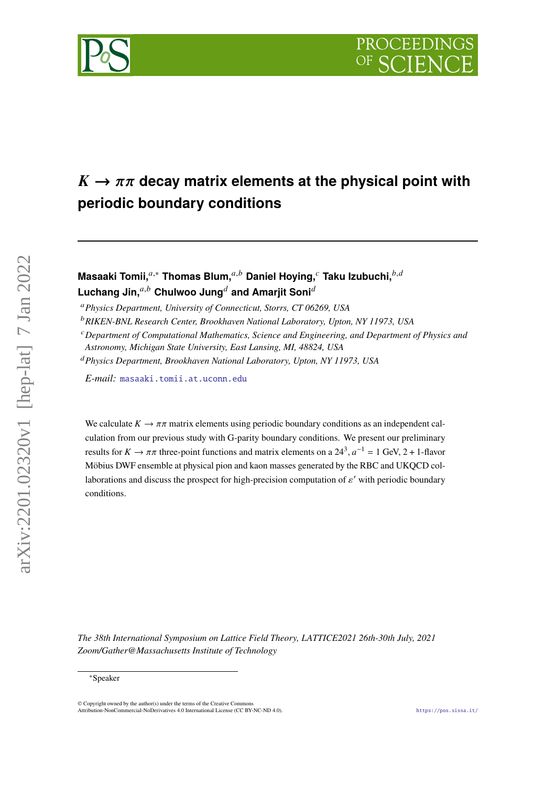



# $K \rightarrow \pi \pi$  decay matrix elements at the physical point with **periodic boundary conditions**

# **Masaaki Tomii,**<sup>a,∗</sup> Thomas Blum,<sup>a,b</sup> Daniel Hoying,<sup>*c*</sup> Taku Izubuchi,<sup>b,d</sup> Luchang Jin.<sup>a,b</sup> Chulwoo Jung<sup>d</sup> and Amariit Soni<sup>d</sup>

*Physics Department, University of Connecticut, Storrs, CT 06269, USA*

*RIKEN-BNL Research Center, Brookhaven National Laboratory, Upton, NY 11973, USA*

*Department of Computational Mathematics, Science and Engineering, and Department of Physics and*

*Astronomy, Michigan State University, East Lansing, MI, 48824, USA*

*Physics Department, Brookhaven National Laboratory, Upton, NY 11973, USA*

*E-mail:* [masaaki.tomii.at.uconn.edu](mailto:masaaki.tomii.at.uconn.edu)

We calculate  $K \to \pi \pi$  matrix elements using periodic boundary conditions as an independent calculation from our previous study with G-parity boundary conditions. We present our preliminary results for  $K \to \pi \pi$  three-point functions and matrix elements on a 24<sup>3</sup>,  $a^{-1} = 1$  GeV, 2 + 1-flavor Möbius DWF ensemble at physical pion and kaon masses generated by the RBC and UKQCD collaborations and discuss the prospect for high-precision computation of  $\varepsilon'$  with periodic boundary conditions.

*The 38th International Symposium on Lattice Field Theory, LATTICE2021 26th-30th July, 2021 Zoom/Gather@Massachusetts Institute of Technology*

arXiv:2201.02320v1 [hep-lat] 7 Jan 2022

 $arXiv:2201.02320v1$  [hep-lat] 7 Jan 2022

<sup>∗</sup>Speaker

<sup>©</sup> Copyright owned by the author(s) under the terms of the Creative Commons Attribution-NonCommercial-NoDerivatives 4.0 International License (CC BY-NC-ND 4.0). <https://pos.sissa.it/>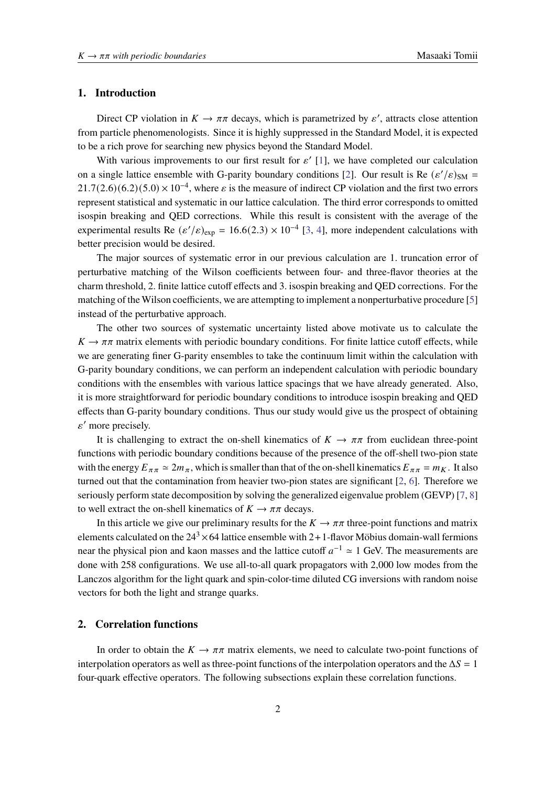### **1. Introduction**

Direct CP violation in  $K \to \pi \pi$  decays, which is parametrized by  $\varepsilon'$ , attracts close attention from particle phenomenologists. Since it is highly suppressed in the Standard Model, it is expected to be a rich prove for searching new physics beyond the Standard Model.

With various improvements to our first result for  $\varepsilon'$  [\[1\]](#page-6-0), we have completed our calculation on a single lattice ensemble with G-parity boundary conditions [\[2\]](#page-6-1). Our result is Re  $(\varepsilon'/\varepsilon)_{\text{SM}} =$  $21.7(2.6)(6.2)(5.0) \times 10^{-4}$ , where  $\varepsilon$  is the measure of indirect CP violation and the first two errors represent statistical and systematic in our lattice calculation. The third error corresponds to omitted isospin breaking and QED corrections. While this result is consistent with the average of the experimental results Re  $(\varepsilon'/\varepsilon)_{exp} = 16.6(2.3) \times 10^{-4}$  [\[3,](#page-6-2) [4\]](#page-6-3), more independent calculations with better precision would be desired.

The major sources of systematic error in our previous calculation are 1. truncation error of perturbative matching of the Wilson coefficients between four- and three-flavor theories at the charm threshold, 2. finite lattice cutoff effects and 3. isospin breaking and QED corrections. For the matching of the Wilson coefficients, we are attempting to implement a nonperturbative procedure [\[5\]](#page-6-4) instead of the perturbative approach.

The other two sources of systematic uncertainty listed above motivate us to calculate the  $K \to \pi \pi$  matrix elements with periodic boundary conditions. For finite lattice cutoff effects, while we are generating finer G-parity ensembles to take the continuum limit within the calculation with G-parity boundary conditions, we can perform an independent calculation with periodic boundary conditions with the ensembles with various lattice spacings that we have already generated. Also, it is more straightforward for periodic boundary conditions to introduce isospin breaking and QED effects than G-parity boundary conditions. Thus our study would give us the prospect of obtaining  $\varepsilon'$  more precisely.

It is challenging to extract the on-shell kinematics of  $K \to \pi \pi$  from euclidean three-point functions with periodic boundary conditions because of the presence of the off-shell two-pion state with the energy  $E_{\pi\pi} \simeq 2m_{\pi}$ , which is smaller than that of the on-shell kinematics  $E_{\pi\pi} = m_K$ . It also turned out that the contamination from heavier two-pion states are significant  $[2, 6]$  $[2, 6]$  $[2, 6]$ . Therefore we seriously perform state decomposition by solving the generalized eigenvalue problem (GEVP) [\[7,](#page-7-0) [8\]](#page-7-1) to well extract the on-shell kinematics of  $K \to \pi \pi$  decays.

In this article we give our preliminary results for the  $K \to \pi \pi$  three-point functions and matrix elements calculated on the  $24<sup>3</sup> \times 64$  lattice ensemble with 2+1-flavor Möbius domain-wall fermions near the physical pion and kaon masses and the lattice cutoff  $a^{-1} \approx 1$  GeV. The measurements are done with 258 configurations. We use all-to-all quark propagators with 2,000 low modes from the Lanczos algorithm for the light quark and spin-color-time diluted CG inversions with random noise vectors for both the light and strange quarks.

# **2. Correlation functions**

In order to obtain the  $K \to \pi \pi$  matrix elements, we need to calculate two-point functions of interpolation operators as well as three-point functions of the interpolation operators and the  $\Delta S = 1$ four-quark effective operators. The following subsections explain these correlation functions.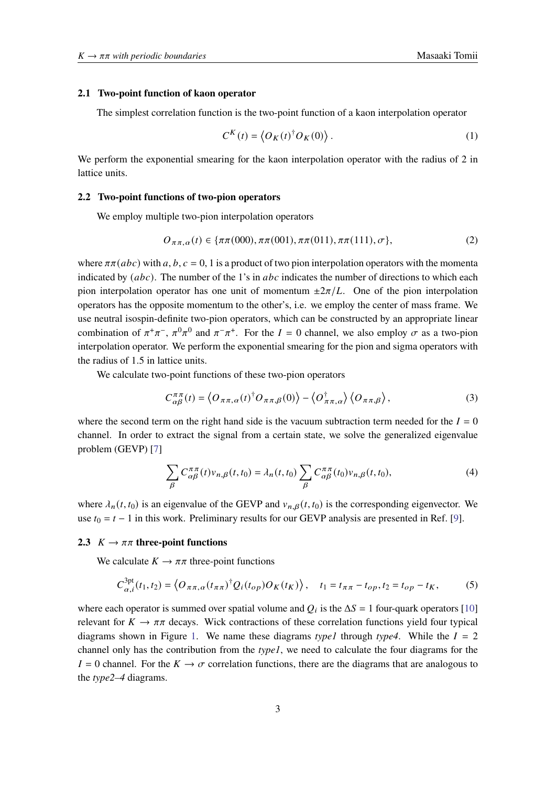#### **2.1 Two-point function of kaon operator**

The simplest correlation function is the two-point function of a kaon interpolation operator

$$
C^{K}(t) = \langle O_{K}(t)^{\dagger} O_{K}(0) \rangle.
$$
 (1)

We perform the exponential smearing for the kaon interpolation operator with the radius of 2 in lattice units.

#### **2.2 Two-point functions of two-pion operators**

We employ multiple two-pion interpolation operators

$$
O_{\pi\pi,\alpha}(t) \in \{\pi\pi(000), \pi\pi(001), \pi\pi(011), \pi\pi(111), \sigma\},\tag{2}
$$

where  $\pi \pi (abc)$  with a, b,  $c = 0, 1$  is a product of two pion interpolation operators with the momenta indicated by  $(abc)$ . The number of the 1's in  $abc$  indicates the number of directions to which each pion interpolation operator has one unit of momentum  $\pm 2\pi/L$ . One of the pion interpolation operators has the opposite momentum to the other's, i.e. we employ the center of mass frame. We use neutral isospin-definite two-pion operators, which can be constructed by an appropriate linear combination of  $\pi^+\pi^-$ ,  $\pi^0\pi^0$  and  $\pi^-\pi^+$ . For the  $I = 0$  channel, we also employ  $\sigma$  as a two-pion interpolation operator. We perform the exponential smearing for the pion and sigma operators with the radius of 1.5 in lattice units.

We calculate two-point functions of these two-pion operators

$$
C_{\alpha\beta}^{\pi\pi}(t) = \langle O_{\pi\pi,\alpha}(t)^\dagger O_{\pi\pi,\beta}(0) \rangle - \langle O_{\pi\pi,\alpha}^\dagger \rangle \langle O_{\pi\pi,\beta} \rangle, \tag{3}
$$

where the second term on the right hand side is the vacuum subtraction term needed for the  $I = 0$ channel. In order to extract the signal from a certain state, we solve the generalized eigenvalue problem (GEVP) [\[7\]](#page-7-0)

$$
\sum_{\beta} C_{\alpha\beta}^{\pi\pi}(t) v_{n,\beta}(t,t_0) = \lambda_n(t,t_0) \sum_{\beta} C_{\alpha\beta}^{\pi\pi}(t_0) v_{n,\beta}(t,t_0),
$$
\n(4)

where  $\lambda_n(t, t_0)$  is an eigenvalue of the GEVP and  $v_{n, \beta}(t, t_0)$  is the corresponding eigenvector. We use  $t_0 = t - 1$  in this work. Preliminary results for our GEVP analysis are presented in Ref. [\[9\]](#page-7-2).

#### **2.3**  $K \rightarrow \pi\pi$  three-point functions

We calculate  $K \to \pi \pi$  three-point functions

<span id="page-2-0"></span>
$$
C_{\alpha,i}^{3pt}(t_1,t_2) = \left\langle O_{\pi\pi,\alpha}(t_{\pi\pi})^\dagger Q_i(t_{op})O_K(t_K) \right\rangle, \quad t_1 = t_{\pi\pi} - t_{op}, t_2 = t_{op} - t_K,\tag{5}
$$

where each operator is summed over spatial volume and  $Q_i$  is the  $\Delta S = 1$  four-quark operators [\[10\]](#page-7-3) relevant for  $K \to \pi \pi$  decays. Wick contractions of these correlation functions yield four typical diagrams shown in Figure [1.](#page-3-0) We name these diagrams *type1* through *type4*. While the  $I = 2$ channel only has the contribution from the *type1*, we need to calculate the four diagrams for the  $I = 0$  channel. For the  $K \to \sigma$  correlation functions, there are the diagrams that are analogous to the *type2–4* diagrams.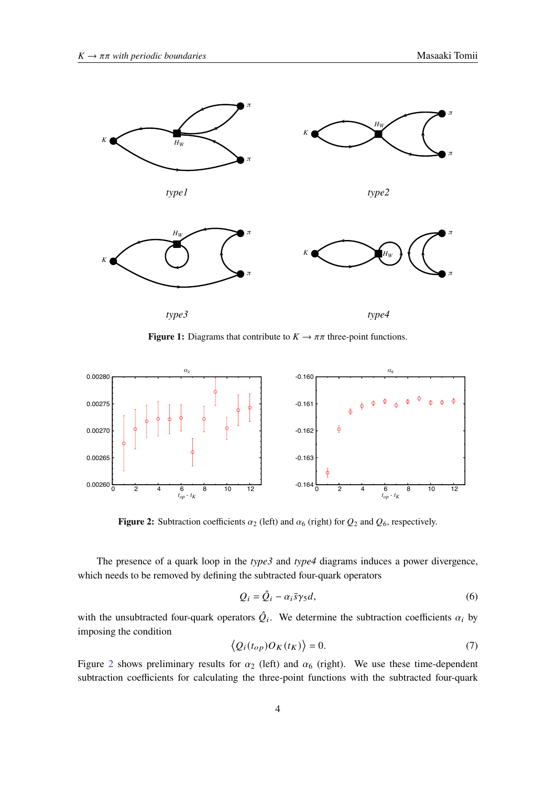<span id="page-3-0"></span>

**Figure 1:** Diagrams that contribute to  $K \to \pi\pi$  three-point functions.

<span id="page-3-1"></span>

**Figure 2:** Subtraction coefficients  $\alpha_2$  (left) and  $\alpha_6$  (right) for  $Q_2$  and  $Q_6$ , respectively.

The presence of a quark loop in the *type3* and *type4* diagrams induces a power divergence, which needs to be removed by defining the subtracted four-quark operators

$$
Q_i = \hat{Q}_i - \alpha_i \bar{s} \gamma_5 d,\tag{6}
$$

with the unsubtracted four-quark operators  $\hat{Q}_i$ . We determine the subtraction coefficients  $\alpha_i$  by imposing the condition

$$
\langle Q_i(t_{op})O_K(t_K)\rangle = 0.
$$
\n(7)

Figure [2](#page-3-1) shows preliminary results for  $\alpha_2$  (left) and  $\alpha_6$  (right). We use these time-dependent subtraction coefficients for calculating the three-point functions with the subtracted four-quark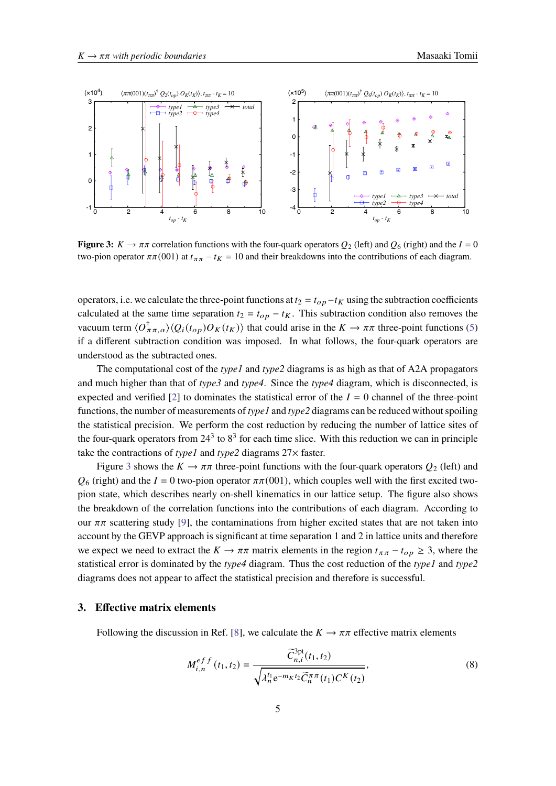<span id="page-4-0"></span>

**Figure 3:**  $K \to \pi \pi$  correlation functions with the four-quark operators  $Q_2$  (left) and  $Q_6$  (right) and the  $I = 0$ two-pion operator  $\pi\pi(001)$  at  $t_{\pi\pi} - t_K = 10$  and their breakdowns into the contributions of each diagram.

operators, i.e. we calculate the three-point functions at  $t_2 = t_{op} - t_K$  using the subtraction coefficients calculated at the same time separation  $t_2 = t_{op} - t_K$ . This subtraction condition also removes the vacuum term  $\langle O_{\pi\pi,\alpha}^{\dagger} \rangle \langle Q_i(t_{op}) O_K(t_K) \rangle$  that could arise in the  $K \to \pi\pi$  three-point functions [\(5\)](#page-2-0) if a different subtraction condition was imposed. In what follows, the four-quark operators are understood as the subtracted ones.

The computational cost of the *type1* and *type2* diagrams is as high as that of A2A propagators and much higher than that of *type3* and *type4*. Since the *type4* diagram, which is disconnected, is expected and verified [\[2\]](#page-6-1) to dominates the statistical error of the  $I = 0$  channel of the three-point functions, the number of measurements of *type1* and *type2* diagrams can be reduced without spoiling the statistical precision. We perform the cost reduction by reducing the number of lattice sites of the four-quark operators from  $24<sup>3</sup>$  to  $8<sup>3</sup>$  for each time slice. With this reduction we can in principle take the contractions of *type1* and *type2* diagrams 27× faster.

Figure [3](#page-4-0) shows the  $K \to \pi \pi$  three-point functions with the four-quark operators  $Q_2$  (left) and  $\mathcal{O}_6$  (right) and the  $I = 0$  two-pion operator  $\pi \pi (001)$ , which couples well with the first excited twopion state, which describes nearly on-shell kinematics in our lattice setup. The figure also shows the breakdown of the correlation functions into the contributions of each diagram. According to our  $\pi\pi$  scattering study [\[9\]](#page-7-2), the contaminations from higher excited states that are not taken into account by the GEVP approach is significant at time separation 1 and 2 in lattice units and therefore we expect we need to extract the  $K \to \pi \pi$  matrix elements in the region  $t_{\pi\pi} - t_{op} \geq 3$ , where the statistical error is dominated by the *type4* diagram. Thus the cost reduction of the *type1* and *type2* diagrams does not appear to affect the statistical precision and therefore is successful.

#### **3. Effective matrix elements**

Following the discussion in Ref. [\[8\]](#page-7-1), we calculate the  $K \to \pi \pi$  effective matrix elements

<span id="page-4-1"></span>
$$
M_{i,n}^{eff}(t_1, t_2) = \frac{\tilde{C}_{n,i}^{3pt}(t_1, t_2)}{\sqrt{\lambda_n^{t_1} e^{-m_K t_2} \tilde{C}_n^{\pi \pi}(t_1) C^K(t_2)}},
$$
(8)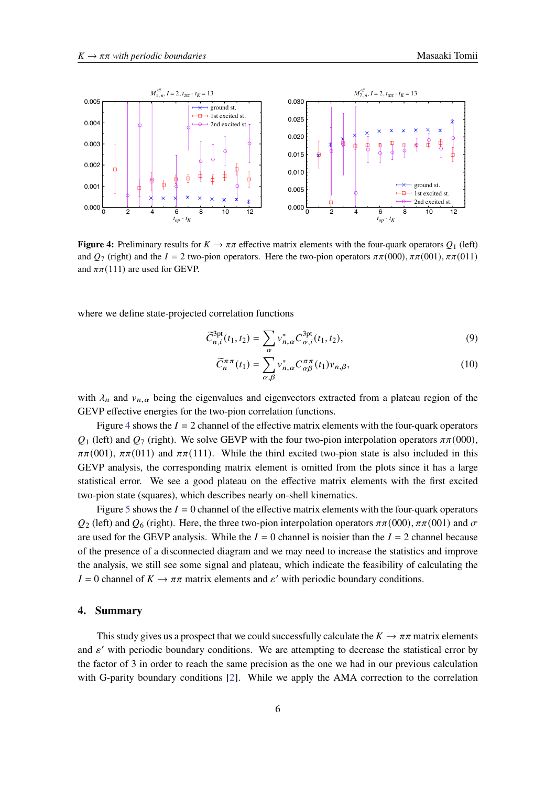<span id="page-5-0"></span>

**Figure 4:** Preliminary results for  $K \to \pi \pi$  effective matrix elements with the four-quark operators  $Q_1$  (left) and  $Q_7$  (right) and the  $I = 2$  two-pion operators. Here the two-pion operators  $\pi \pi (000)$ ,  $\pi \pi (001)$ ,  $\pi \pi (011)$ and  $\pi\pi$ (111) are used for GEVP.

where we define state-projected correlation functions

$$
\widetilde{C}_{n,i}^{3pt}(t_1, t_2) = \sum_{\alpha} v_{n,\alpha}^* C_{\alpha,i}^{3pt}(t_1, t_2),\tag{9}
$$

$$
\widetilde{C}_{n}^{\pi\pi}(t_{1}) = \sum_{\alpha,\beta} v_{n,\alpha}^{*} C_{\alpha\beta}^{\pi\pi}(t_{1}) v_{n,\beta},
$$
\n(10)

with  $\lambda_n$  and  $v_{n,\alpha}$  being the eigenvalues and eigenvectors extracted from a plateau region of the GEVP effective energies for the two-pion correlation functions.

Figure [4](#page-5-0) shows the  $I = 2$  channel of the effective matrix elements with the four-quark operators  $Q_1$  (left) and  $Q_7$  (right). We solve GEVP with the four two-pion interpolation operators  $\pi\pi(000)$ ,  $\pi\pi(001)$ ,  $\pi\pi(011)$  and  $\pi\pi(111)$ . While the third excited two-pion state is also included in this GEVP analysis, the corresponding matrix element is omitted from the plots since it has a large statistical error. We see a good plateau on the effective matrix elements with the first excited two-pion state (squares), which describes nearly on-shell kinematics.

Figure [5](#page-6-6) shows the  $I = 0$  channel of the effective matrix elements with the four-quark operators  $Q_2$  (left) and  $Q_6$  (right). Here, the three two-pion interpolation operators  $\pi \pi (000)$ ,  $\pi \pi (001)$  and  $\sigma$ are used for the GEVP analysis. While the  $I = 0$  channel is noisier than the  $I = 2$  channel because of the presence of a disconnected diagram and we may need to increase the statistics and improve the analysis, we still see some signal and plateau, which indicate the feasibility of calculating the  $I = 0$  channel of  $K \to \pi \pi$  matrix elements and  $\varepsilon'$  with periodic boundary conditions.

### **4. Summary**

This study gives us a prospect that we could successfully calculate the  $K \to \pi \pi$  matrix elements and  $\varepsilon'$  with periodic boundary conditions. We are attempting to decrease the statistical error by the factor of 3 in order to reach the same precision as the one we had in our previous calculation with G-parity boundary conditions [\[2\]](#page-6-1). While we apply the AMA correction to the correlation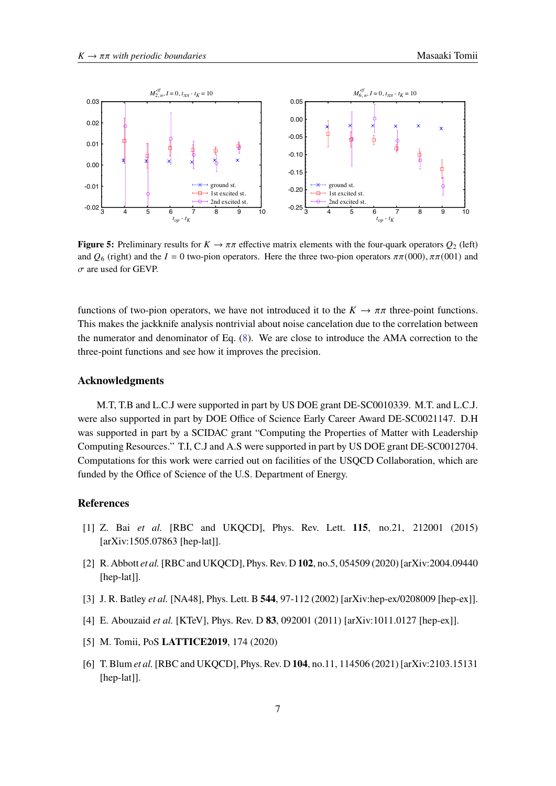<span id="page-6-6"></span>

**Figure 5:** Preliminary results for  $K \to \pi \pi$  effective matrix elements with the four-quark operators  $Q_2$  (left) and  $Q_6$  (right) and the  $I = 0$  two-pion operators. Here the three two-pion operators  $\pi \pi (000)$ ,  $\pi \pi (001)$  and  $\sigma$  are used for GEVP.

functions of two-pion operators, we have not introduced it to the  $K \to \pi \pi$  three-point functions. This makes the jackknife analysis nontrivial about noise cancelation due to the correlation between the numerator and denominator of Eq. [\(8\)](#page-4-1). We are close to introduce the AMA correction to the three-point functions and see how it improves the precision.

#### **Acknowledgments**

M.T, T.B and L.C.J were supported in part by US DOE grant DE-SC0010339. M.T. and L.C.J. were also supported in part by DOE Office of Science Early Career Award DE-SC0021147. D.H was supported in part by a SCIDAC grant "Computing the Properties of Matter with Leadership Computing Resources." T.I, C.J and A.S were supported in part by US DOE grant DE-SC0012704. Computations for this work were carried out on facilities of the USQCD Collaboration, which are funded by the Office of Science of the U.S. Department of Energy.

## **References**

- <span id="page-6-0"></span>[1] Z. Bai *et al.* [RBC and UKQCD], Phys. Rev. Lett. **115**, no.21, 212001 (2015) [arXiv:1505.07863 [hep-lat]].
- <span id="page-6-1"></span>[2] R. Abbott *et al.*[RBC and UKQCD], Phys. Rev. D **102**, no.5, 054509 (2020) [arXiv:2004.09440 [hep-lat]].
- <span id="page-6-2"></span>[3] J. R. Batley *et al.* [NA48], Phys. Lett. B **544**, 97-112 (2002) [arXiv:hep-ex/0208009 [hep-ex]].
- <span id="page-6-3"></span>[4] E. Abouzaid *et al.* [KTeV], Phys. Rev. D **83**, 092001 (2011) [arXiv:1011.0127 [hep-ex]].
- <span id="page-6-4"></span>[5] M. Tomii, PoS **LATTICE2019**, 174 (2020)
- <span id="page-6-5"></span>[6] T. Blum *et al.*[RBC and UKQCD], Phys. Rev. D **104**, no.11, 114506 (2021) [arXiv:2103.15131 [hep-lat]].